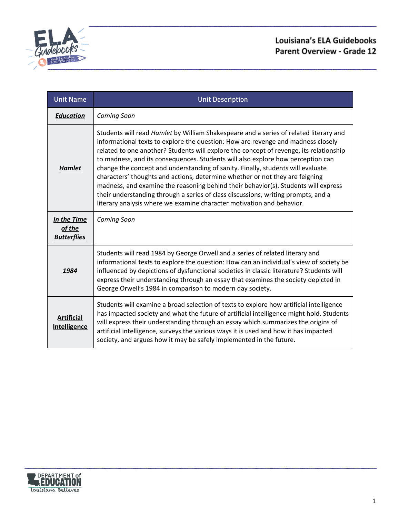

# **Louisiana's ELA Guidebooks** Parent Overview - Grade 12

| <b>Unit Name</b>                            | <b>Unit Description</b>                                                                                                                                                                                                                                                                                                                                                                                                                                                                                                                                                                                                                                                                                                                                                       |
|---------------------------------------------|-------------------------------------------------------------------------------------------------------------------------------------------------------------------------------------------------------------------------------------------------------------------------------------------------------------------------------------------------------------------------------------------------------------------------------------------------------------------------------------------------------------------------------------------------------------------------------------------------------------------------------------------------------------------------------------------------------------------------------------------------------------------------------|
| <b>Education</b>                            | Coming Soon                                                                                                                                                                                                                                                                                                                                                                                                                                                                                                                                                                                                                                                                                                                                                                   |
| <b>Hamlet</b>                               | Students will read Hamlet by William Shakespeare and a series of related literary and<br>informational texts to explore the question: How are revenge and madness closely<br>related to one another? Students will explore the concept of revenge, its relationship<br>to madness, and its consequences. Students will also explore how perception can<br>change the concept and understanding of sanity. Finally, students will evaluate<br>characters' thoughts and actions, determine whether or not they are feigning<br>madness, and examine the reasoning behind their behavior(s). Students will express<br>their understanding through a series of class discussions, writing prompts, and a<br>literary analysis where we examine character motivation and behavior. |
| In the Time<br>of the<br><b>Butterflies</b> | <b>Coming Soon</b>                                                                                                                                                                                                                                                                                                                                                                                                                                                                                                                                                                                                                                                                                                                                                            |
| 1984                                        | Students will read 1984 by George Orwell and a series of related literary and<br>informational texts to explore the question: How can an individual's view of society be<br>influenced by depictions of dysfunctional societies in classic literature? Students will<br>express their understanding through an essay that examines the society depicted in<br>George Orwell's 1984 in comparison to modern day society.                                                                                                                                                                                                                                                                                                                                                       |
| <b>Artificial</b><br><b>Intelligence</b>    | Students will examine a broad selection of texts to explore how artificial intelligence<br>has impacted society and what the future of artificial intelligence might hold. Students<br>will express their understanding through an essay which summarizes the origins of<br>artificial intelligence, surveys the various ways it is used and how it has impacted<br>society, and argues how it may be safely implemented in the future.                                                                                                                                                                                                                                                                                                                                       |

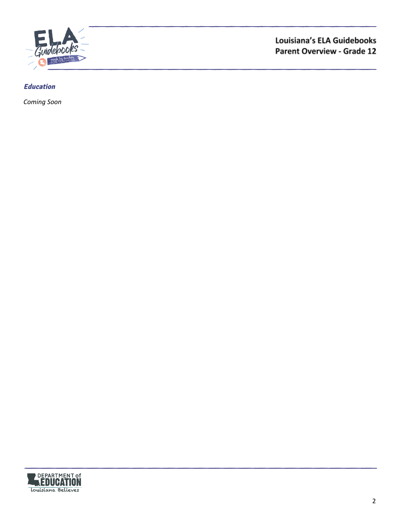

**Louisiana's ELA Guidebooks** Parent Overview - Grade 12

### <span id="page-1-0"></span>**Education**

*Coming Soon*

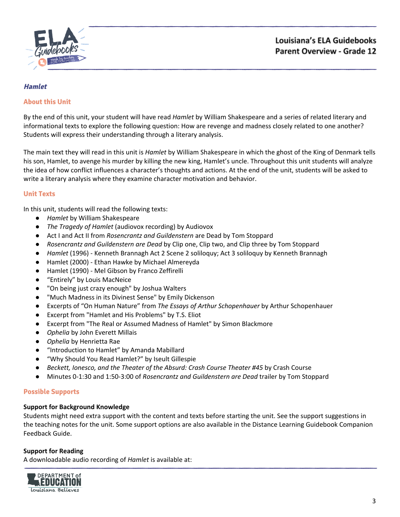

#### <span id="page-2-0"></span>**Hamlet**

#### **About this Unit**

By the end of this unit, your student will have read *Hamlet* by William Shakespeare and a series of related literary and informational texts to explore the following question: How are revenge and madness closely related to one another? Students will express their understanding through a literary analysis.

The main text they will read in this unit is *Hamlet* by William Shakespeare in which the ghost of the King of Denmark tells his son, Hamlet, to avenge his murder by killing the new king, Hamlet's uncle. Throughout this unit students will analyze the idea of how conflict influences a character's thoughts and actions. At the end of the unit, students will be asked to write a literary analysis where they examine character motivation and behavior.

#### **Unit Texts**

In this unit, students will read the following texts:

- *● Hamlet* by William Shakespeare
- *The Tragedy of Hamlet* (audiovox recording) by Audiovox
- Act I and Act II from *Rosencrantz and Guildenstern* are Dead by Tom Stoppard
- *● Rosencrantz and Guildenstern are Dead* by Clip one, Clip two, and Clip three by Tom Stoppard
- *Hamlet* (1996) Kenneth Brannagh Act 2 Scene 2 soliloquy; Act 3 soliloquy by Kenneth Brannagh
- Hamlet (2000) Ethan Hawke by Michael Almereyda
- Hamlet (1990) Mel Gibson by Franco Zeffirelli
- "Entirely" by Louis MacNeice
- "On being just crazy enough" by Joshua Walters
- "Much Madness in its Divinest Sense" by Emily Dickenson
- Excerpts of "On Human Nature" from *The Essays of Arthur Schopenhauer* by Arthur Schopenhauer
- Excerpt from "Hamlet and His Problems" by T.S. Eliot
- Excerpt from "The Real or Assumed Madness of Hamlet" by Simon Blackmore
- **Ophelia** by John Everett Millais
- *Ophelia* by Henrietta Rae
- "Introduction to Hamlet" by Amanda Mabillard
- "Why Should You Read Hamlet?" by Iseult Gillespie
- *Beckett, Ionesco, and the Theater of the Absurd: Crash Course Theater #45* by Crash Course
- Minutes 0-1:30 and 1:50-3:00 of *Rosencrantz and Guildenstern are Dead* trailer by Tom Stoppard

#### **Possible Supports**

#### **Support for Background Knowledge**

Students might need extra support with the content and texts before starting the unit. See the support suggestions in the teaching notes for the unit. Some support options are also available in the Distance Learning Guidebook Companion Feedback Guide.

#### **Support for Reading**

A downloadable audio recording of *Hamlet* is available at:

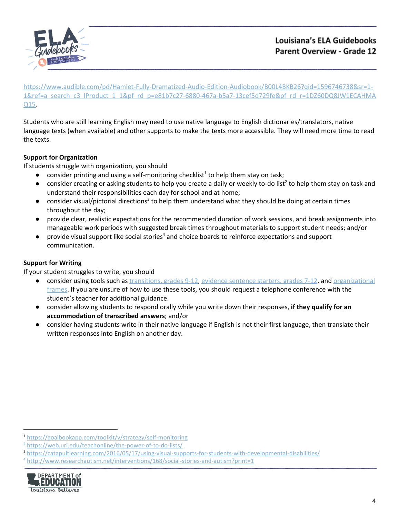

[https://www.audible.com/pd/Hamlet-Fully-Dramatized-Audio-Edition-Audiobook/B00L4BKB26?qid=1596746738&sr=1-](https://www.audible.com/pd/Hamlet-Fully-Dramatized-Audio-Edition-Audiobook/B00L4BKB26?qid=1596746738&sr=1-1&ref=a_search_c3_lProduct_1_1&pf_rd_p=e81b7c27-6880-467a-b5a7-13cef5d729fe&pf_rd_r=1DZ60DQ8JW1ECAHMAQ15) [1&ref=a\\_search\\_c3\\_lProduct\\_1\\_1&pf\\_rd\\_p=e81b7c27-6880-467a-b5a7-13cef5d729fe&pf\\_rd\\_r=1DZ60DQ8JW1ECAHMA](https://www.audible.com/pd/Hamlet-Fully-Dramatized-Audio-Edition-Audiobook/B00L4BKB26?qid=1596746738&sr=1-1&ref=a_search_c3_lProduct_1_1&pf_rd_p=e81b7c27-6880-467a-b5a7-13cef5d729fe&pf_rd_r=1DZ60DQ8JW1ECAHMAQ15) [Q15.](https://www.audible.com/pd/Hamlet-Fully-Dramatized-Audio-Edition-Audiobook/B00L4BKB26?qid=1596746738&sr=1-1&ref=a_search_c3_lProduct_1_1&pf_rd_p=e81b7c27-6880-467a-b5a7-13cef5d729fe&pf_rd_r=1DZ60DQ8JW1ECAHMAQ15)

Students who are still learning English may need to use native language to English dictionaries/translators, native language texts (when available) and other supports to make the texts more accessible. They will need more time to read the texts.

# **Support for Organization**

If students struggle with organization, you should

- $\bullet$  consider printing and using a self-monitoring checklist<sup>1</sup> to help them stay on task;
- $\bullet$  consider creating or asking students to help you create a daily or weekly to-do list<sup>2</sup> to help them stay on task and understand their responsibilities each day for school and at home;
- $\bullet$  consider visual/pictorial directions<sup>3</sup> to help them understand what they should be doing at certain times throughout the day;
- provide clear, realistic expectations for the recommended duration of work sessions, and break assignments into manageable work periods with suggested break times throughout materials to support student needs; and/or
- $\bullet$  provide visual support like social stories<sup>4</sup> and choice boards to reinforce expectations and support communication.

# **Support for Writing**

If your student struggles to write, you should

- consider using tools such as [transitions,](https://learnzillion.com/documents/157894/) grades 9-12, evidence [sentence](https://learnzillion.com/documents/157867/) starters, grades 7-12, and [organizational](https://learnzillion.com/resources/116858/) [frames](https://learnzillion.com/resources/116858/). If you are unsure of how to use these tools, you should request a telephone conference with the student's teacher for additional guidance.
- consider allowing students to respond orally while you write down their responses, **if they qualify for an accommodation of transcribed answers**; and/or
- **●** consider having students write in their native language if English is not their first language, then translate their written responses into English on another day.

<sup>4</sup> <http://www.researchautism.net/interventions/168/social-stories-and-autism?print=1>



<sup>1</sup> <https://goalbookapp.com/toolkit/v/strategy/self-monitoring>

<sup>&</sup>lt;sup>2</sup> <https://web.uri.edu/teachonline/the-power-of-to-do-lists/>

<sup>3</sup> <https://catapultlearning.com/2016/05/17/using-visual-supports-for-students-with-developmental-disabilities/>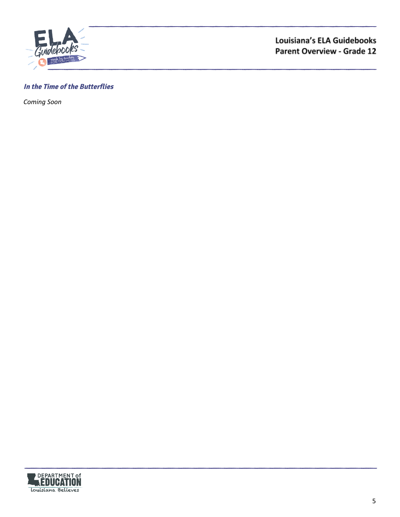

**Louisiana's ELA Guidebooks** Parent Overview - Grade 12

# <span id="page-4-0"></span>**In the Time of the Butterflies**

*Coming Soon*

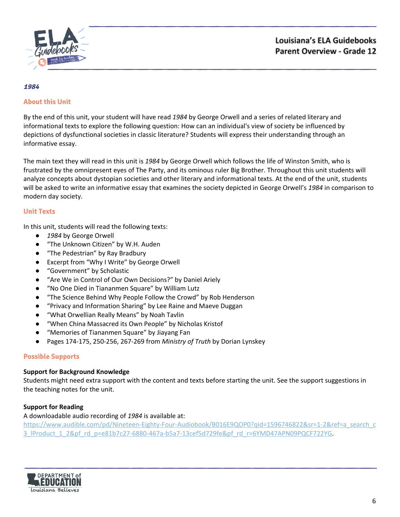

#### <span id="page-5-0"></span>**1984**

#### **About this Unit**

By the end of this unit, your student will have read *1984* by George Orwell and a series of related literary and informational texts to explore the following question: How can an individual's view of society be influenced by depictions of dysfunctional societies in classic literature? Students will express their understanding through an informative essay.

The main text they will read in this unit is *1984* by George Orwell which follows the life of Winston Smith, who is frustrated by the omnipresent eyes of The Party, and its ominous ruler Big Brother. Throughout this unit students will analyze concepts about dystopian societies and other literary and informational texts. At the end of the unit, students will be asked to write an informative essay that examines the society depicted in George Orwell's *1984* in comparison to modern day society.

#### **Unit Texts**

In this unit, students will read the following texts:

- *1984* by George Orwell
- "The Unknown Citizen" by W.H. Auden
- "The Pedestrian" by Ray Bradbury
- Excerpt from "Why I Write" by George Orwell
- "Government" by Scholastic
- "Are We in Control of Our Own Decisions?" by Daniel Ariely
- "No One Died in Tiananmen Square" by William Lutz
- "The Science Behind Why People Follow the Crowd" by Rob Henderson
- "Privacy and Information Sharing" by Lee Raine and Maeve Duggan
- "What Orwellian Really Means" by Noah Tavlin
- "When China Massacred its Own People" by Nicholas Kristof
- "Memories of Tiananmen Square" by Jiayang Fan
- Pages 174-175, 250-256, 267-269 from *Ministry of Truth* by Dorian Lynskey

#### **Possible Supports**

#### **Support for Background Knowledge**

Students might need extra support with the content and texts before starting the unit. See the support suggestions in the teaching notes for the unit.

#### **Support for Reading**

A downloadable audio recording of *1984* is available at:

[https://www.audible.com/pd/Nineteen-Eighty-Four-Audiobook/B016E9QOP0?qid=1596746822&sr=1-2&ref=a\\_search\\_c](https://www.audible.com/pd/Nineteen-Eighty-Four-Audiobook/B016E9QOP0?qid=1596746822&sr=1-2&ref=a_search_c3_lProduct_1_2&pf_rd_p=e81b7c27-6880-467a-b5a7-13cef5d729fe&pf_rd_r=6YMD47APN09PQCF722YG) [3\\_lProduct\\_1\\_2&pf\\_rd\\_p=e81b7c27-6880-467a-b5a7-13cef5d729fe&pf\\_rd\\_r=6YMD47APN09PQCF722YG](https://www.audible.com/pd/Nineteen-Eighty-Four-Audiobook/B016E9QOP0?qid=1596746822&sr=1-2&ref=a_search_c3_lProduct_1_2&pf_rd_p=e81b7c27-6880-467a-b5a7-13cef5d729fe&pf_rd_r=6YMD47APN09PQCF722YG).

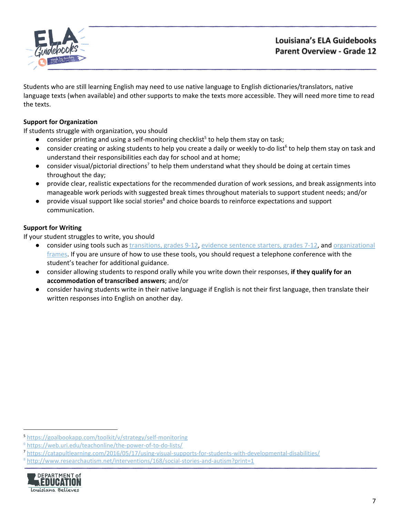

Students who are still learning English may need to use native language to English dictionaries/translators, native language texts (when available) and other supports to make the texts more accessible. They will need more time to read the texts.

# **Support for Organization**

If students struggle with organization, you should

- $\bullet$  consider printing and using a self-monitoring checklist<sup>5</sup> to help them stay on task;
- $\bullet$  consider creating or asking students to help you create a daily or weekly to-do list<sup>6</sup> to help them stay on task and understand their responsibilities each day for school and at home;
- $\bullet$  consider visual/pictorial directions<sup>7</sup> to help them understand what they should be doing at certain times throughout the day;
- provide clear, realistic expectations for the recommended duration of work sessions, and break assignments into manageable work periods with suggested break times throughout materials to support student needs; and/or
- provide visual support like social stories<sup>8</sup> and choice boards to reinforce expectations and support communication.

#### **Support for Writing**

If your student struggles to write, you should

- consider using tools such as [transitions,](https://learnzillion.com/documents/157894/) grades 9-12, evidence [sentence](https://learnzillion.com/documents/157867/) starters, grades 7-12, and [organizational](https://learnzillion.com/resources/116858/) [frames](https://learnzillion.com/resources/116858/). If you are unsure of how to use these tools, you should request a telephone conference with the student's teacher for additional guidance.
- consider allowing students to respond orally while you write down their responses, **if they qualify for an accommodation of transcribed answers**; and/or
- **●** consider having students write in their native language if English is not their first language, then translate their written responses into English on another day.

<sup>8</sup> <http://www.researchautism.net/interventions/168/social-stories-and-autism?print=1>



<sup>5</sup> <https://goalbookapp.com/toolkit/v/strategy/self-monitoring>

<sup>6</sup> <https://web.uri.edu/teachonline/the-power-of-to-do-lists/>

<sup>7</sup> <https://catapultlearning.com/2016/05/17/using-visual-supports-for-students-with-developmental-disabilities/>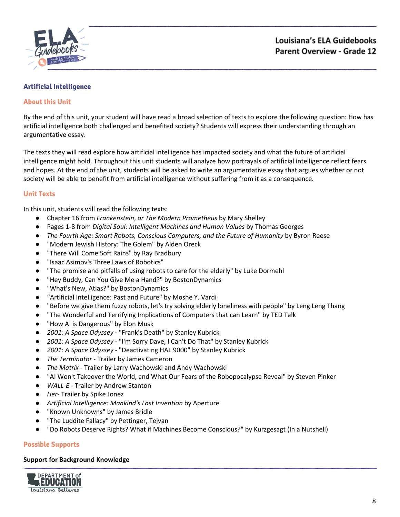

#### <span id="page-7-0"></span>**Artificial Intelligence**

#### **About this Unit**

By the end of this unit, your student will have read a broad selection of texts to explore the following question: How has artificial intelligence both challenged and benefited society? Students will express their understanding through an argumentative essay.

The texts they will read explore how artificial intelligence has impacted society and what the future of artificial intelligence might hold. Throughout this unit students will analyze how portrayals of artificial intelligence reflect fears and hopes. At the end of the unit, students will be asked to write an argumentative essay that argues whether or not society will be able to benefit from artificial intelligence without suffering from it as a consequence.

#### **Unit Texts**

In this unit, students will read the following texts:

- Chapter 16 from *Frankenstein*, *or The Modern Prometheus* by Mary Shelley
- Pages 1-8 from *Digital Soul: Intelligent Machines and Human Values* by Thomas Georges
- *The Fourth Age: Smart Robots, Conscious Computers, and the Future of Humanity* by Byron Reese
- "Modern Jewish History: The Golem" by Alden Oreck
- "There Will Come Soft Rains" by Ray Bradbury
- "Isaac Asimov's Three Laws of Robotics"
- "The promise and pitfalls of using robots to care for the elderly" by Luke Dormehl
- "Hey Buddy, Can You Give Me a Hand?" by BostonDynamics
- "What's New, Atlas?" by BostonDynamics
- "Artificial Intelligence: Past and Future" by Moshe Y. Vardi
- Fefore we give them fuzzy robots, let's try solving elderly loneliness with people" by Leng Leng Thang
- The Wonderful and Terrifying Implications of Computers that can Learn" by TED Talk
- "How AI is Dangerous" by Elon Musk
- *2001: A Space Odyssey* "Frank's Death" by Stanley Kubrick
- *2001: A Space Odyssey* "I'm Sorry Dave, I Can't Do That" by Stanley Kubrick
- *2001: A Space Odyssey* "Deactivating HAL 9000" by Stanley Kubrick
- *The Terminator* Trailer by James Cameron
- *The Matrix* Trailer by Larry Wachowski and Andy Wachowski
- "AI Won't Takeover the World, and What Our Fears of the Robopocalypse Reveal" by Steven Pinker
- *WALL-E* Trailer by Andrew Stanton
- **Her- Trailer by Spike Jonez**
- *Artificial Intelligence: Mankind's Last Invention* by Aperture
- "Known Unknowns" by James Bridle
- "The Luddite Fallacy" by Pettinger, Tejvan
- "Do Robots Deserve Rights? What if Machines Become Conscious?" by Kurzgesagt (In a Nutshell)

#### **Possible Supports**

#### **Support for Background Knowledge**